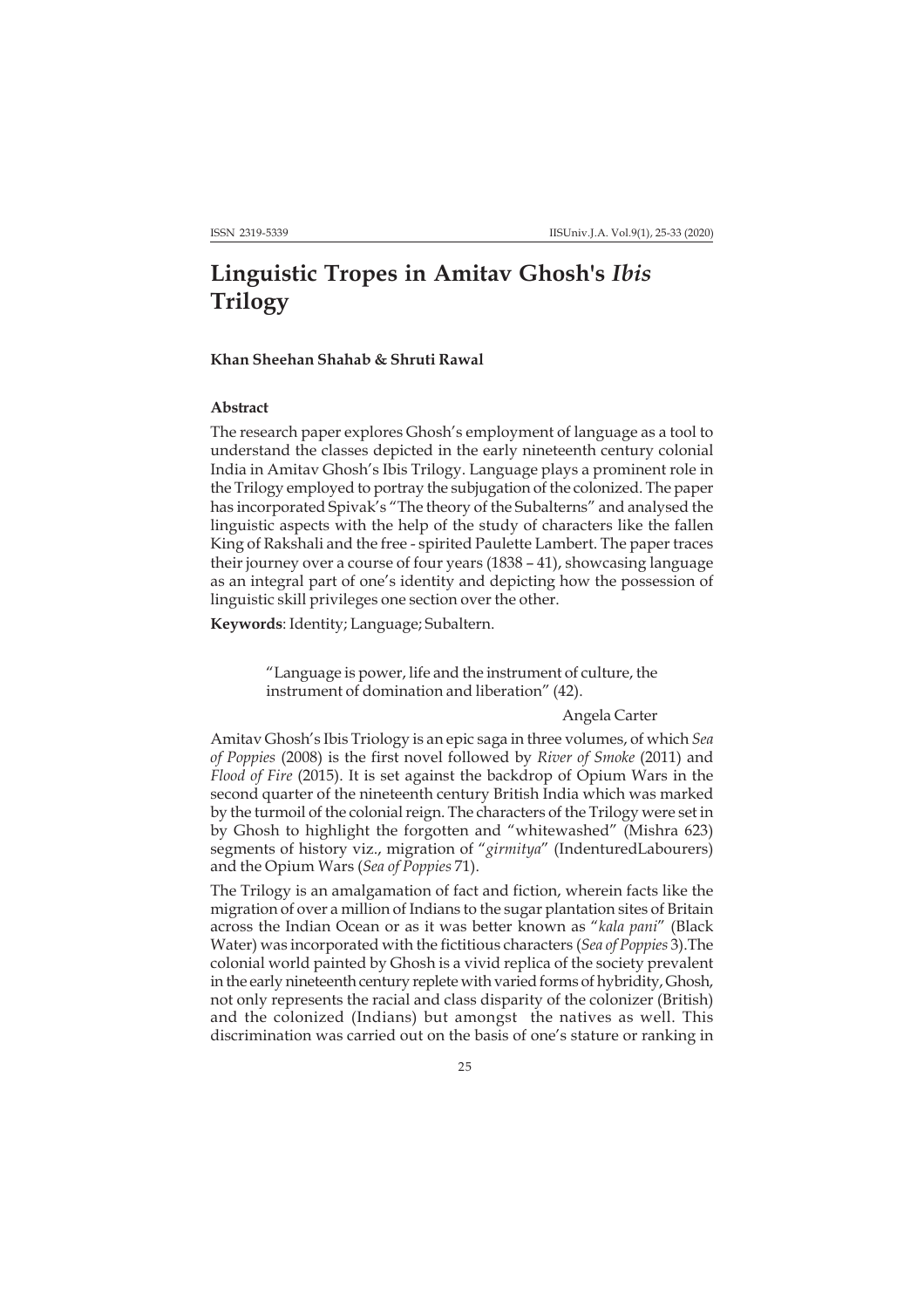# **Linguistic Tropes in Amitav Ghosh's** *Ibis* **Trilogy**

# **Khan Sheehan Shahab & Shruti Rawal**

## **Abstract**

The research paper explores Ghosh's employment of language as a tool to understand the classes depicted in the early nineteenth century colonial India in Amitav Ghosh's Ibis Trilogy. Language plays a prominent role in the Trilogy employed to portray the subjugation of the colonized. The paper has incorporated Spivak's "The theory of the Subalterns" and analysed the linguistic aspects with the help of the study of characters like the fallen King of Rakshali and the free - spirited Paulette Lambert. The paper traces their journey over a course of four years (1838 – 41), showcasing language as an integral part of one's identity and depicting how the possession of linguistic skill privileges one section over the other.

**Keywords**: Identity; Language; Subaltern.

"Language is power, life and the instrument of culture, the instrument of domination and liberation" (42).

## Angela Carter

Amitav Ghosh's Ibis Triology is an epic saga in three volumes, of which *Sea of Poppies* (2008) is the first novel followed by *River of Smoke* (2011) and *Flood of Fire* (2015). It is set against the backdrop of Opium Wars in the second quarter of the nineteenth century British India which was marked by the turmoil of the colonial reign. The characters of the Trilogy were set in by Ghosh to highlight the forgotten and "whitewashed" (Mishra 623) segments of history viz., migration of "*girmitya*" (IndenturedLabourers) and the Opium Wars (*Sea of Poppies* 71).

The Trilogy is an amalgamation of fact and fiction, wherein facts like the migration of over a million of Indians to the sugar plantation sites of Britain across the Indian Ocean or as it was better known as "*kala pani*" (Black Water) was incorporated with the fictitious characters (*Sea of Poppies* 3).The colonial world painted by Ghosh is a vivid replica of the society prevalent in the early nineteenth century replete with varied forms of hybridity, Ghosh, not only represents the racial and class disparity of the colonizer (British) and the colonized (Indians) but amongst the natives as well. This discrimination was carried out on the basis of one's stature or ranking in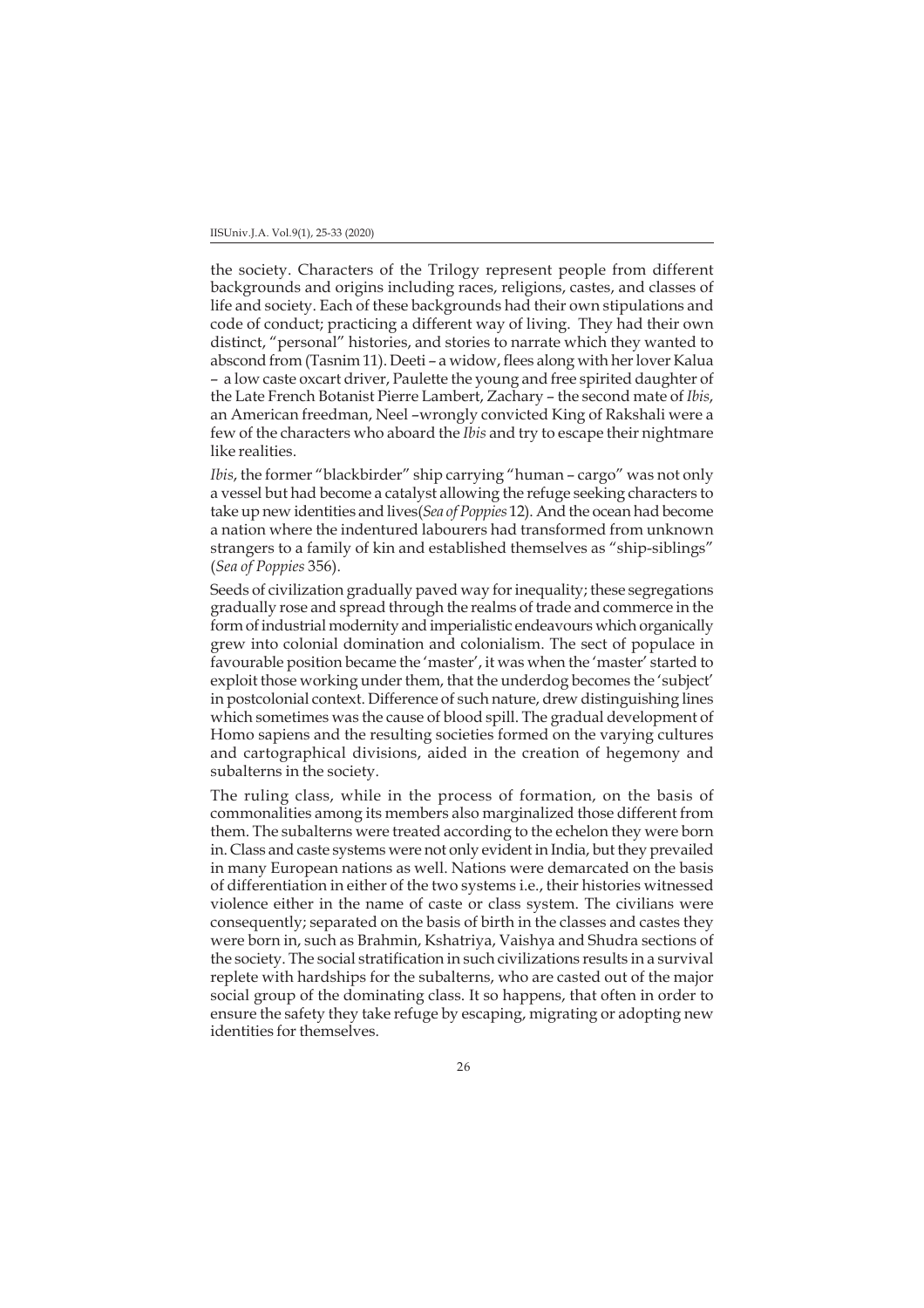the society. Characters of the Trilogy represent people from different backgrounds and origins including races, religions, castes, and classes of life and society. Each of these backgrounds had their own stipulations and code of conduct; practicing a different way of living. They had their own distinct, "personal" histories, and stories to narrate which they wanted to abscond from (Tasnim 11). Deeti – a widow, flees along with her lover Kalua – a low caste oxcart driver, Paulette the young and free spirited daughter of the Late French Botanist Pierre Lambert, Zachary – the second mate of *Ibis*, an American freedman, Neel –wrongly convicted King of Rakshali were a few of the characters who aboard the *Ibis* and try to escape their nightmare like realities.

*Ibis*, the former "blackbirder" ship carrying "human – cargo" was not only a vessel but had become a catalyst allowing the refuge seeking characters to take up new identities and lives(*Sea of Poppies* 12). And the ocean had become a nation where the indentured labourers had transformed from unknown strangers to a family of kin and established themselves as "ship-siblings" (*Sea of Poppies* 356).

Seeds of civilization gradually paved way for inequality; these segregations gradually rose and spread through the realms of trade and commerce in the form of industrial modernity and imperialistic endeavours which organically grew into colonial domination and colonialism. The sect of populace in favourable position became the 'master', it was when the 'master' started to exploit those working under them, that the underdog becomes the 'subject' in postcolonial context. Difference of such nature, drew distinguishing lines which sometimes was the cause of blood spill. The gradual development of Homo sapiens and the resulting societies formed on the varying cultures and cartographical divisions, aided in the creation of hegemony and subalterns in the society.

The ruling class, while in the process of formation, on the basis of commonalities among its members also marginalized those different from them. The subalterns were treated according to the echelon they were born in. Class and caste systems were not only evident in India, but they prevailed in many European nations as well. Nations were demarcated on the basis of differentiation in either of the two systems i.e., their histories witnessed violence either in the name of caste or class system. The civilians were consequently; separated on the basis of birth in the classes and castes they were born in, such as Brahmin, Kshatriya, Vaishya and Shudra sections of the society. The social stratification in such civilizations results in a survival replete with hardships for the subalterns, who are casted out of the major social group of the dominating class. It so happens, that often in order to ensure the safety they take refuge by escaping, migrating or adopting new identities for themselves.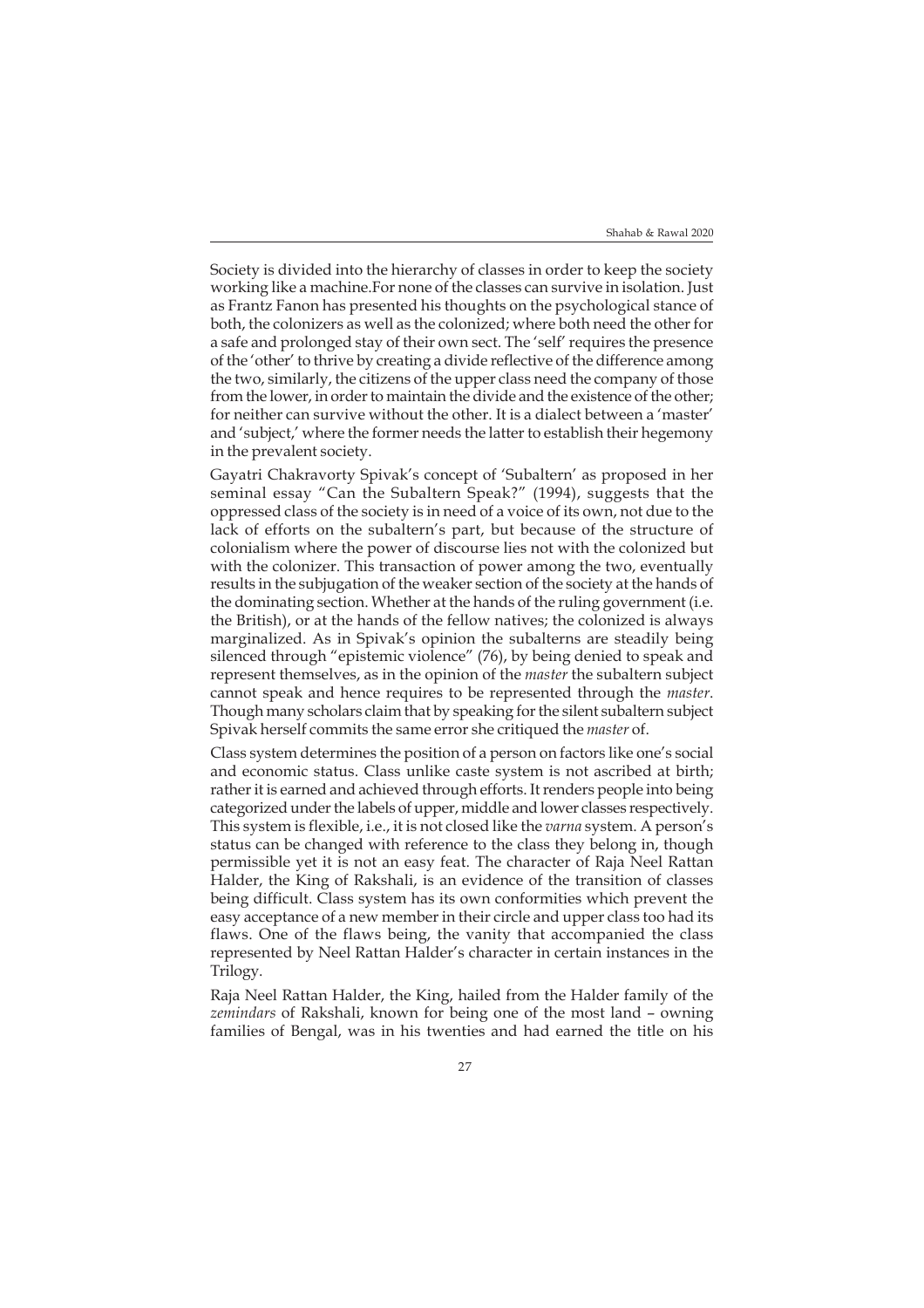Society is divided into the hierarchy of classes in order to keep the society working like a machine.For none of the classes can survive in isolation. Just as Frantz Fanon has presented his thoughts on the psychological stance of both, the colonizers as well as the colonized; where both need the other for a safe and prolonged stay of their own sect. The 'self' requires the presence of the 'other' to thrive by creating a divide reflective of the difference among the two, similarly, the citizens of the upper class need the company of those from the lower, in order to maintain the divide and the existence of the other; for neither can survive without the other. It is a dialect between a 'master' and 'subject,' where the former needs the latter to establish their hegemony in the prevalent society.

Gayatri Chakravorty Spivak's concept of 'Subaltern' as proposed in her seminal essay "Can the Subaltern Speak?" (1994), suggests that the oppressed class of the society is in need of a voice of its own, not due to the lack of efforts on the subaltern's part, but because of the structure of colonialism where the power of discourse lies not with the colonized but with the colonizer. This transaction of power among the two, eventually results in the subjugation of the weaker section of the society at the hands of the dominating section. Whether at the hands of the ruling government (i.e. the British), or at the hands of the fellow natives; the colonized is always marginalized. As in Spivak's opinion the subalterns are steadily being silenced through "epistemic violence" (76), by being denied to speak and represent themselves, as in the opinion of the *master* the subaltern subject cannot speak and hence requires to be represented through the *master*. Though many scholars claim that by speaking for the silent subaltern subject Spivak herself commits the same error she critiqued the *master* of.

Class system determines the position of a person on factors like one's social and economic status. Class unlike caste system is not ascribed at birth; rather it is earned and achieved through efforts. It renders people into being categorized under the labels of upper, middle and lower classes respectively. This system is flexible, i.e., it is not closed like the *varna* system. A person's status can be changed with reference to the class they belong in, though permissible yet it is not an easy feat. The character of Raja Neel Rattan Halder, the King of Rakshali, is an evidence of the transition of classes being difficult. Class system has its own conformities which prevent the easy acceptance of a new member in their circle and upper class too had its flaws. One of the flaws being, the vanity that accompanied the class represented by Neel Rattan Halder's character in certain instances in the Trilogy.

Raja Neel Rattan Halder, the King, hailed from the Halder family of the *zemindars* of Rakshali, known for being one of the most land – owning families of Bengal, was in his twenties and had earned the title on his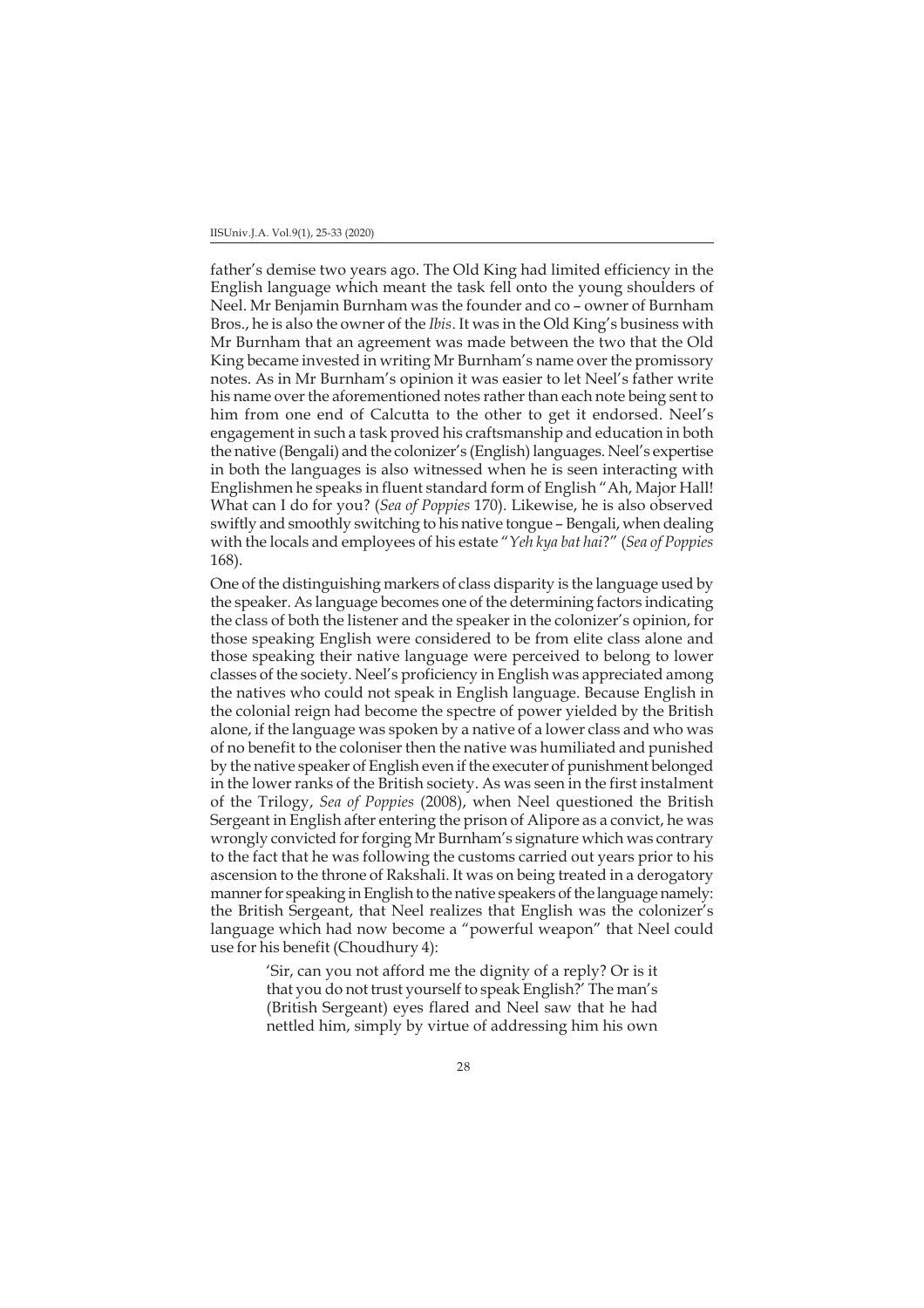father's demise two years ago. The Old King had limited efficiency in the English language which meant the task fell onto the young shoulders of Neel. Mr Benjamin Burnham was the founder and co – owner of Burnham Bros., he is also the owner of the *Ibis*. It was in the Old King's business with Mr Burnham that an agreement was made between the two that the Old King became invested in writing Mr Burnham's name over the promissory notes. As in Mr Burnham's opinion it was easier to let Neel's father write his name over the aforementioned notes rather than each note being sent to him from one end of Calcutta to the other to get it endorsed. Neel's engagement in such a task proved his craftsmanship and education in both the native (Bengali) and the colonizer's (English) languages. Neel's expertise in both the languages is also witnessed when he is seen interacting with Englishmen he speaks in fluent standard form of English "Ah, Major Hall! What can I do for you? (*Sea of Poppies* 170). Likewise, he is also observed swiftly and smoothly switching to his native tongue – Bengali, when dealing with the locals and employees of his estate "*Yeh kya bat hai*?" (*Sea of Poppies* 168).

One of the distinguishing markers of class disparity is the language used by the speaker. As language becomes one of the determining factors indicating the class of both the listener and the speaker in the colonizer's opinion, for those speaking English were considered to be from elite class alone and those speaking their native language were perceived to belong to lower classes of the society. Neel's proficiency in English was appreciated among the natives who could not speak in English language. Because English in the colonial reign had become the spectre of power yielded by the British alone, if the language was spoken by a native of a lower class and who was of no benefit to the coloniser then the native was humiliated and punished by the native speaker of English even if the executer of punishment belonged in the lower ranks of the British society. As was seen in the first instalment of the Trilogy, *Sea of Poppies* (2008), when Neel questioned the British Sergeant in English after entering the prison of Alipore as a convict, he was wrongly convicted for forging Mr Burnham's signature which was contrary to the fact that he was following the customs carried out years prior to his ascension to the throne of Rakshali. It was on being treated in a derogatory manner for speaking in English to the native speakers of the language namely: the British Sergeant, that Neel realizes that English was the colonizer's language which had now become a "powerful weapon" that Neel could use for his benefit (Choudhury 4):

> 'Sir, can you not afford me the dignity of a reply? Or is it that you do not trust yourself to speak English?' The man's (British Sergeant) eyes flared and Neel saw that he had nettled him, simply by virtue of addressing him his own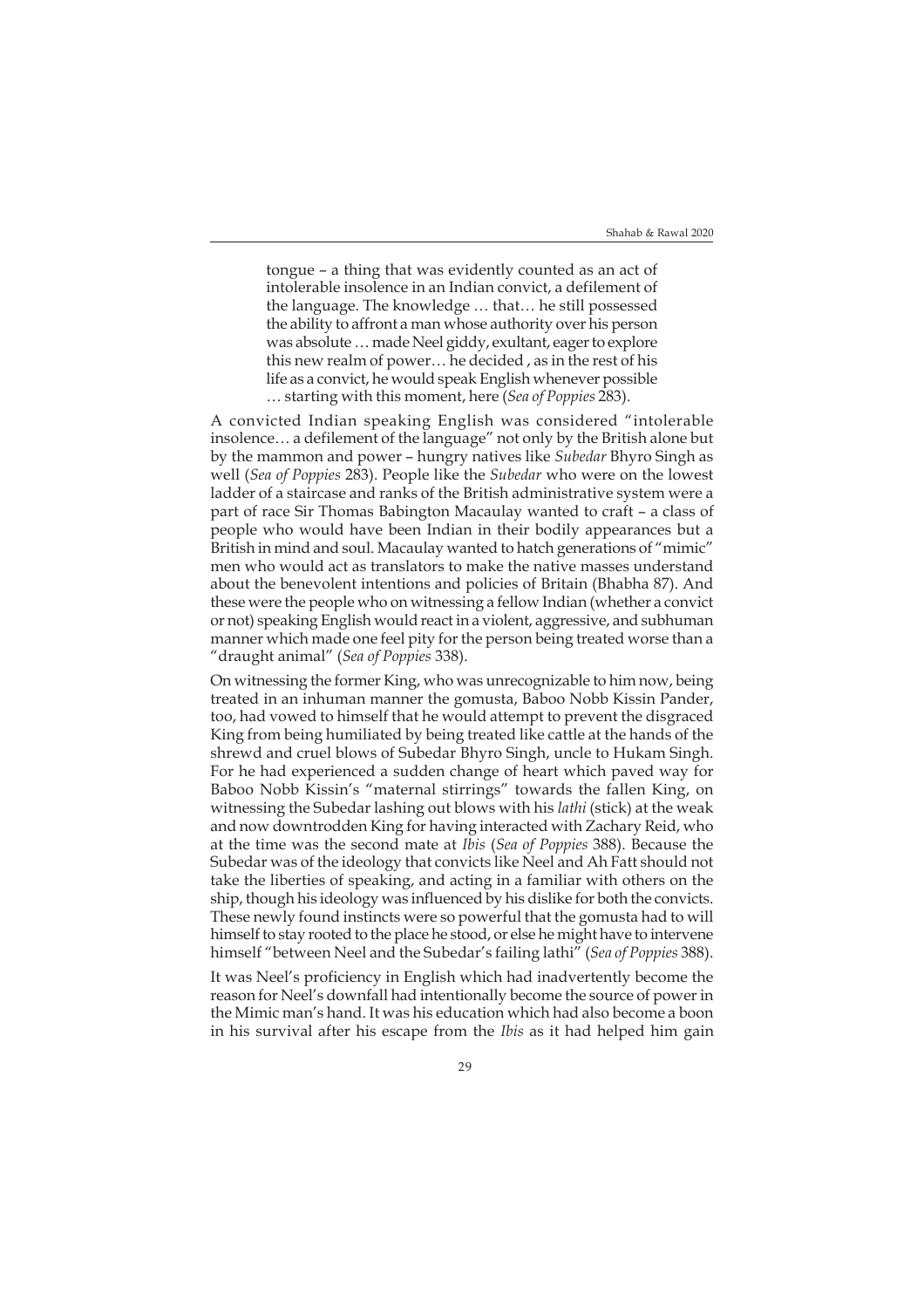tongue – a thing that was evidently counted as an act of intolerable insolence in an Indian convict, a defilement of the language. The knowledge … that… he still possessed the ability to affront a man whose authority over his person was absolute … made Neel giddy, exultant, eager to explore this new realm of power… he decided , as in the rest of his life as a convict, he would speak English whenever possible … starting with this moment, here (*Sea of Poppies* 283).

A convicted Indian speaking English was considered "intolerable insolence… a defilement of the language" not only by the British alone but by the mammon and power – hungry natives like *Subedar* Bhyro Singh as well (*Sea of Poppies* 283). People like the *Subedar* who were on the lowest ladder of a staircase and ranks of the British administrative system were a part of race Sir Thomas Babington Macaulay wanted to craft – a class of people who would have been Indian in their bodily appearances but a British in mind and soul. Macaulay wanted to hatch generations of "mimic" men who would act as translators to make the native masses understand about the benevolent intentions and policies of Britain (Bhabha 87). And these were the people who on witnessing a fellow Indian (whether a convict or not) speaking English would react in a violent, aggressive, and subhuman manner which made one feel pity for the person being treated worse than a "draught animal" (*Sea of Poppies* 338).

On witnessing the former King, who was unrecognizable to him now, being treated in an inhuman manner the gomusta, Baboo Nobb Kissin Pander, too, had vowed to himself that he would attempt to prevent the disgraced King from being humiliated by being treated like cattle at the hands of the shrewd and cruel blows of Subedar Bhyro Singh, uncle to Hukam Singh. For he had experienced a sudden change of heart which paved way for Baboo Nobb Kissin's "maternal stirrings" towards the fallen King, on witnessing the Subedar lashing out blows with his *lathi* (stick) at the weak and now downtrodden King for having interacted with Zachary Reid, who at the time was the second mate at *Ibis* (*Sea of Poppies* 388). Because the Subedar was of the ideology that convicts like Neel and Ah Fatt should not take the liberties of speaking, and acting in a familiar with others on the ship, though his ideology was influenced by his dislike for both the convicts. These newly found instincts were so powerful that the gomusta had to will himself to stay rooted to the place he stood, or else he might have to intervene himself "between Neel and the Subedar's failing lathi" (*Sea of Poppies* 388).

It was Neel's proficiency in English which had inadvertently become the reason for Neel's downfall had intentionally become the source of power in the Mimic man's hand. It was his education which had also become a boon in his survival after his escape from the *Ibis* as it had helped him gain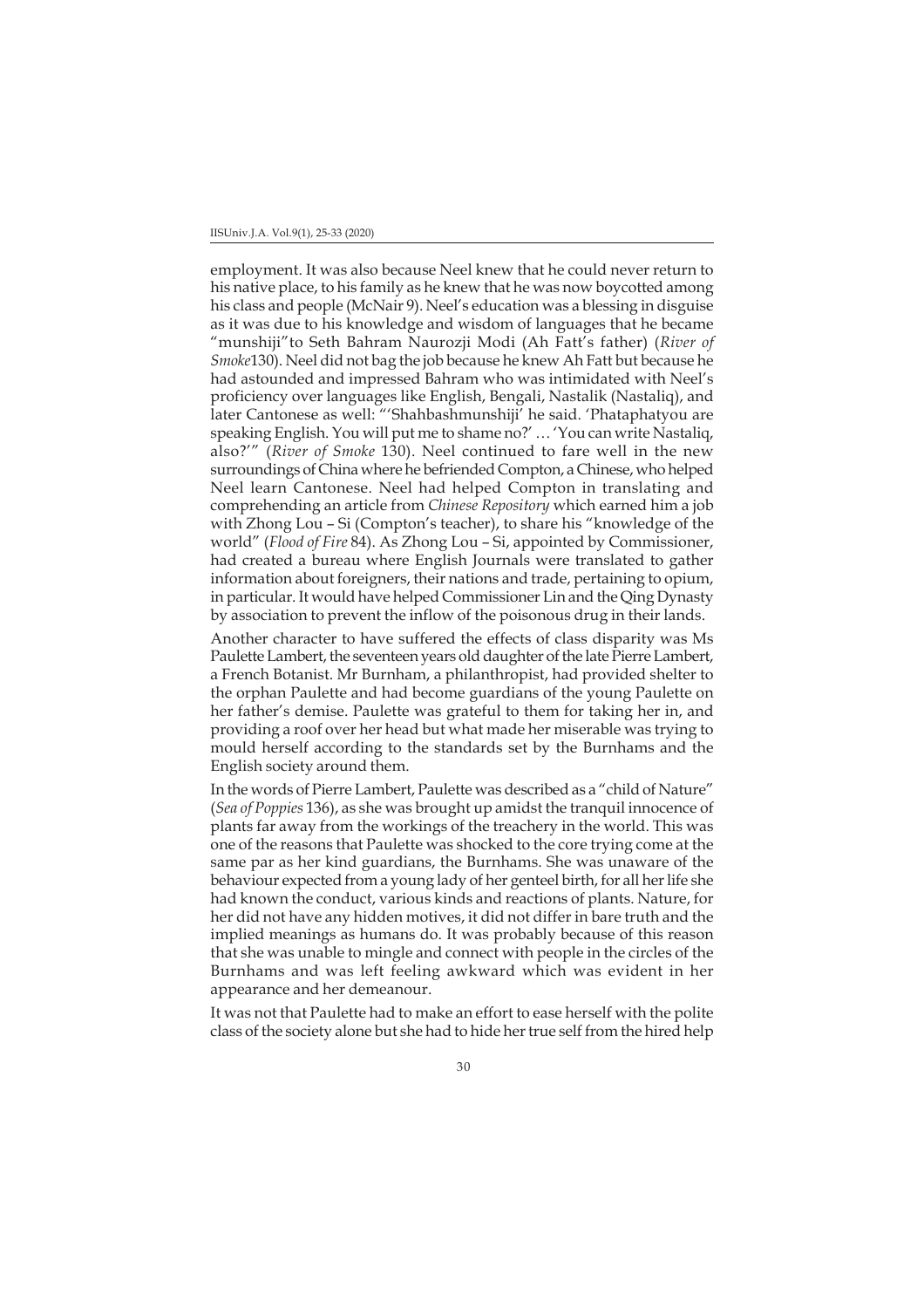employment. It was also because Neel knew that he could never return to his native place, to his family as he knew that he was now boycotted among his class and people (McNair 9). Neel's education was a blessing in disguise as it was due to his knowledge and wisdom of languages that he became "munshiji"to Seth Bahram Naurozji Modi (Ah Fatt's father) (*River of Smoke*130). Neel did not bag the job because he knew Ah Fatt but because he had astounded and impressed Bahram who was intimidated with Neel's proficiency over languages like English, Bengali, Nastalik (Nastaliq), and later Cantonese as well: "'Shahbashmunshiji' he said. 'Phataphatyou are speaking English. You will put me to shame no?' … 'You can write Nastaliq, also?'" (*River of Smoke* 130). Neel continued to fare well in the new surroundings of China where he befriended Compton, a Chinese, who helped Neel learn Cantonese. Neel had helped Compton in translating and comprehending an article from *Chinese Repository* which earned him a job with Zhong Lou – Si (Compton's teacher), to share his "knowledge of the world" (*Flood of Fire* 84). As Zhong Lou – Si, appointed by Commissioner, had created a bureau where English Journals were translated to gather information about foreigners, their nations and trade, pertaining to opium, in particular. It would have helped Commissioner Lin and the Qing Dynasty by association to prevent the inflow of the poisonous drug in their lands.

Another character to have suffered the effects of class disparity was Ms Paulette Lambert, the seventeen years old daughter of the late Pierre Lambert, a French Botanist. Mr Burnham, a philanthropist, had provided shelter to the orphan Paulette and had become guardians of the young Paulette on her father's demise. Paulette was grateful to them for taking her in, and providing a roof over her head but what made her miserable was trying to mould herself according to the standards set by the Burnhams and the English society around them.

In the words of Pierre Lambert, Paulette was described as a "child of Nature" (*Sea of Poppies* 136), as she was brought up amidst the tranquil innocence of plants far away from the workings of the treachery in the world. This was one of the reasons that Paulette was shocked to the core trying come at the same par as her kind guardians, the Burnhams. She was unaware of the behaviour expected from a young lady of her genteel birth, for all her life she had known the conduct, various kinds and reactions of plants. Nature, for her did not have any hidden motives, it did not differ in bare truth and the implied meanings as humans do. It was probably because of this reason that she was unable to mingle and connect with people in the circles of the Burnhams and was left feeling awkward which was evident in her appearance and her demeanour.

It was not that Paulette had to make an effort to ease herself with the polite class of the society alone but she had to hide her true self from the hired help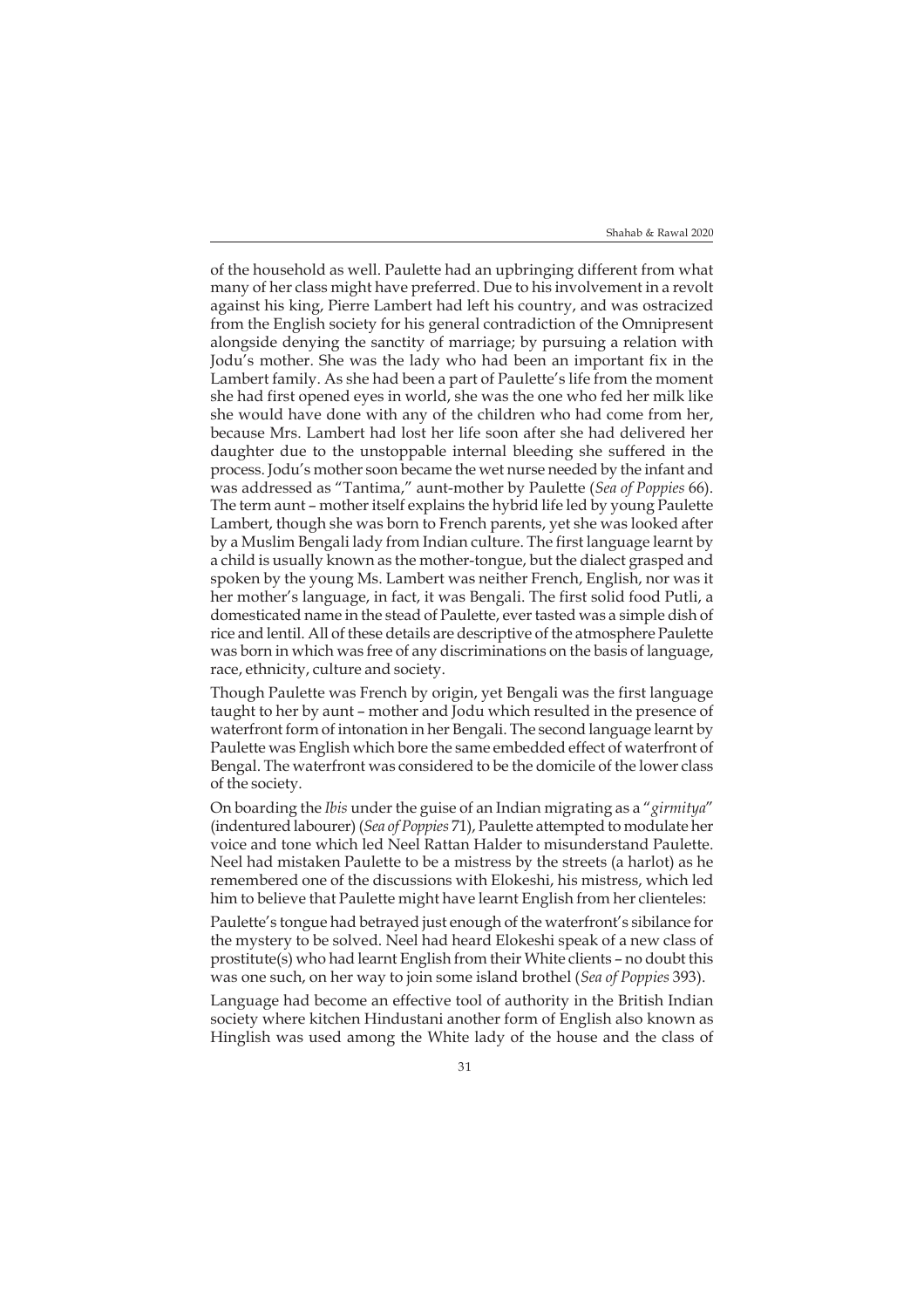of the household as well. Paulette had an upbringing different from what many of her class might have preferred. Due to his involvement in a revolt against his king, Pierre Lambert had left his country, and was ostracized from the English society for his general contradiction of the Omnipresent alongside denying the sanctity of marriage; by pursuing a relation with Jodu's mother. She was the lady who had been an important fix in the Lambert family. As she had been a part of Paulette's life from the moment she had first opened eyes in world, she was the one who fed her milk like she would have done with any of the children who had come from her, because Mrs. Lambert had lost her life soon after she had delivered her daughter due to the unstoppable internal bleeding she suffered in the process. Jodu's mother soon became the wet nurse needed by the infant and was addressed as "Tantima," aunt-mother by Paulette (*Sea of Poppies* 66). The term aunt – mother itself explains the hybrid life led by young Paulette Lambert, though she was born to French parents, yet she was looked after by a Muslim Bengali lady from Indian culture. The first language learnt by a child is usually known as the mother-tongue, but the dialect grasped and spoken by the young Ms. Lambert was neither French, English, nor was it her mother's language, in fact, it was Bengali. The first solid food Putli, a domesticated name in the stead of Paulette, ever tasted was a simple dish of rice and lentil. All of these details are descriptive of the atmosphere Paulette was born in which was free of any discriminations on the basis of language, race, ethnicity, culture and society.

Though Paulette was French by origin, yet Bengali was the first language taught to her by aunt – mother and Jodu which resulted in the presence of waterfront form of intonation in her Bengali. The second language learnt by Paulette was English which bore the same embedded effect of waterfront of Bengal. The waterfront was considered to be the domicile of the lower class of the society.

On boarding the *Ibis* under the guise of an Indian migrating as a "*girmitya*" (indentured labourer) (*Sea of Poppies* 71), Paulette attempted to modulate her voice and tone which led Neel Rattan Halder to misunderstand Paulette. Neel had mistaken Paulette to be a mistress by the streets (a harlot) as he remembered one of the discussions with Elokeshi, his mistress, which led him to believe that Paulette might have learnt English from her clienteles:

Paulette's tongue had betrayed just enough of the waterfront's sibilance for the mystery to be solved. Neel had heard Elokeshi speak of a new class of prostitute(s) who had learnt English from their White clients – no doubt this was one such, on her way to join some island brothel (*Sea of Poppies* 393).

Language had become an effective tool of authority in the British Indian society where kitchen Hindustani another form of English also known as Hinglish was used among the White lady of the house and the class of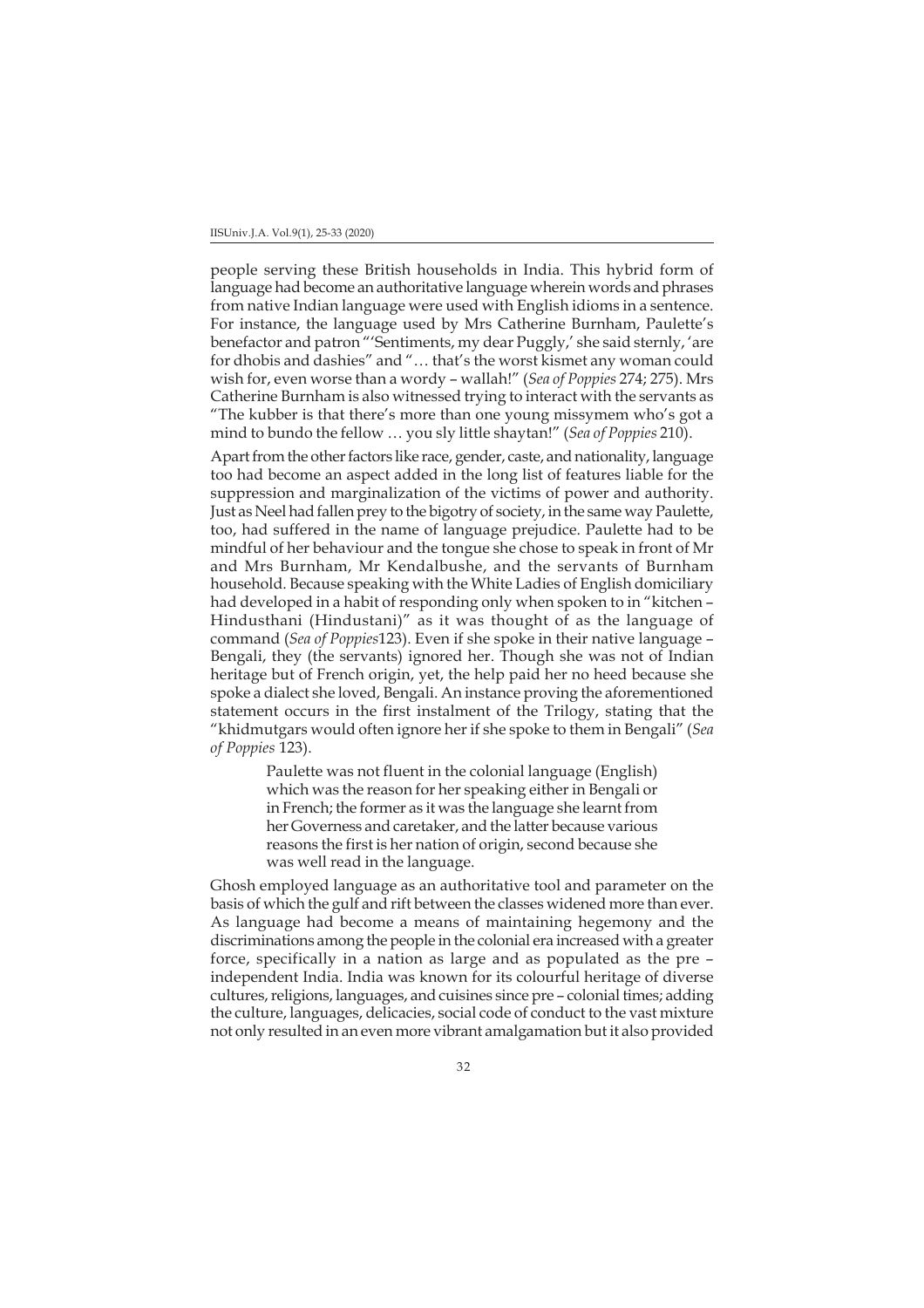people serving these British households in India. This hybrid form of language had become an authoritative language wherein words and phrases from native Indian language were used with English idioms in a sentence. For instance, the language used by Mrs Catherine Burnham, Paulette's benefactor and patron "'Sentiments, my dear Puggly,' she said sternly, 'are for dhobis and dashies" and "… that's the worst kismet any woman could wish for, even worse than a wordy – wallah!" (*Sea of Poppies* 274; 275). Mrs Catherine Burnham is also witnessed trying to interact with the servants as "The kubber is that there's more than one young missymem who's got a mind to bundo the fellow … you sly little shaytan!" (*Sea of Poppies* 210).

Apart from the other factors like race, gender, caste, and nationality, language too had become an aspect added in the long list of features liable for the suppression and marginalization of the victims of power and authority. Just as Neel had fallen prey to the bigotry of society, in the same way Paulette, too, had suffered in the name of language prejudice. Paulette had to be mindful of her behaviour and the tongue she chose to speak in front of Mr and Mrs Burnham, Mr Kendalbushe, and the servants of Burnham household. Because speaking with the White Ladies of English domiciliary had developed in a habit of responding only when spoken to in "kitchen – Hindusthani (Hindustani)" as it was thought of as the language of command (*Sea of Poppies*123). Even if she spoke in their native language – Bengali, they (the servants) ignored her. Though she was not of Indian heritage but of French origin, yet, the help paid her no heed because she spoke a dialect she loved, Bengali. An instance proving the aforementioned statement occurs in the first instalment of the Trilogy, stating that the "khidmutgars would often ignore her if she spoke to them in Bengali" (*Sea of Poppies* 123).

> Paulette was not fluent in the colonial language (English) which was the reason for her speaking either in Bengali or in French; the former as it was the language she learnt from her Governess and caretaker, and the latter because various reasons the first is her nation of origin, second because she was well read in the language.

Ghosh employed language as an authoritative tool and parameter on the basis of which the gulf and rift between the classes widened more than ever. As language had become a means of maintaining hegemony and the discriminations among the people in the colonial era increased with a greater force, specifically in a nation as large and as populated as the pre – independent India. India was known for its colourful heritage of diverse cultures, religions, languages, and cuisines since pre – colonial times; adding the culture, languages, delicacies, social code of conduct to the vast mixture not only resulted in an even more vibrant amalgamation but it also provided